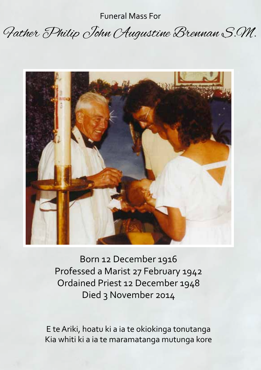Funeral Mass For

## Father Philip John Augustine Brennan S.M.



Born 12 December 1916 Professed a Marist 27 February 1942 Ordained Priest 12 December 1948 Died 3 November 2014

E te Ariki, hoatu ki a ia te okiokinga tonutanga Kia whiti ki a ia te maramatanga mutunga kore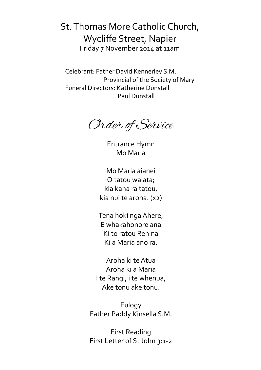St. Thomas More Catholic Church, Wycliffe Street, Napier Friday 7 November 2014 at 11am

Celebrant: Father David Kennerley S.M. Provincial of the Society of Mary Funeral Directors: Katherine Dunstall Paul Dunstall

Order of Service

Entrance Hymn Mo Maria

Mo Maria aianei O tatou waiata; kia kaha ra tatou, kia nui te aroha. (x2)

Tena hoki nga Ahere, E whakahonore ana Ki to ratou Rehina Ki a Maria ano ra.

Aroha ki te Atua Aroha ki a Maria I te Rangi, i te whenua, Ake tonu ake tonu.

Eulogy Father Paddy Kinsella S.M.

First Reading First Letter of St John 3:1-2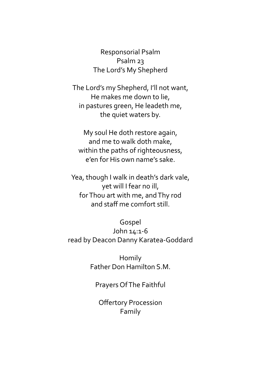Responsorial Psalm Psalm 23 The Lord's My Shepherd

The Lord's my Shepherd, I'll not want, He makes me down to lie, in pastures green, He leadeth me, the quiet waters by.

My soul He doth restore again, and me to walk doth make, within the paths of righteousness, e'en for His own name's sake.

Yea, though I walk in death's dark vale, yet will I fear no ill, for Thou art with me, and Thy rod and staff me comfort still.

Gospel John 14:1-6 read by Deacon Danny Karatea-Goddard

> Homily Father Don Hamilton S.M.

Prayers Of The Faithful

Offertory Procession Family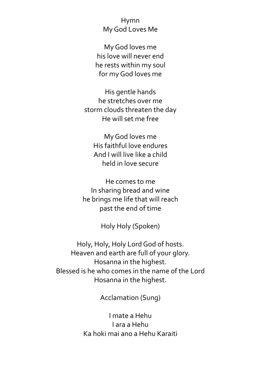Hymn My God Loves Me

My God loves me his love will never end he rests within my soul for my God loves me

His gentle hands he stretches over me storm clouds threaten the day He will set me free

My God loves me His faithful love endures And I will live like a child held in love secure

He comes to me In sharing bread and wine he brings me life that will reach past the end of time

Holy Holy (Spoken)

Holy, Holy, Holy Lord God of hosts. Heaven and earth are full of your glory. Hosanna in the highest. Blessed is he who comes in the name of the Lord Hosanna in the highest.

Acclamation (Sung)

I mate a Hehu I ara a Hehu Ka hoki mai ano a Hehu Karaiti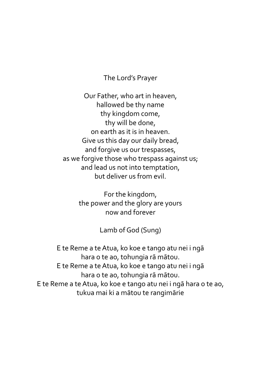The Lord's Prayer

Our Father, who art in heaven, hallowed be thy name thy kingdom come, thy will be done, on earth as it is in heaven. Give us this day our daily bread, and forgive us our trespasses, as we forgive those who trespass against us; and lead us not into temptation, but deliver us from evil.

> For the kingdom, the power and the glory are yours now and forever

> > Lamb of God (Sung)

E te Reme a te Atua, ko koe e tango atu nei i ngā hara o te ao, tohungia rā mātou. E te Reme a te Atua, ko koe e tango atu nei i ngā hara o te ao, tohungia rā mātou. E te Reme a te Atua, ko koe e tango atu nei i ngā hara o te ao, tukua mai ki a mātou te rangimārie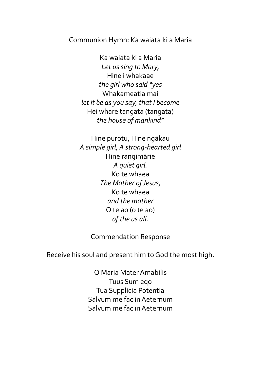Communion Hymn: Ka waiata ki a Maria

Ka waiata ki a Maria *Let us sing to Mary,* Hine i whakaae *the girl who said "yes* Whakameatia mai *let it be as you say, that I become* Hei whare tangata (tangata) *the house of mankind"*

Hine purotu, Hine ngākau *A simple girl, A strong-hearted girl* Hine rangimārie *A quiet girl.* Ko te whaea *The Mother of Jesus,* Ko te whaea *and the mother* O te ao (o te ao) *of the us all.*

Commendation Response

Receive his soul and present him to God the most high.

O Maria Mater Amabilis Tuus Sum eqo Tua Supplicia Potentia Salvum me fac in Aeternum Salvum me fac in Aeternum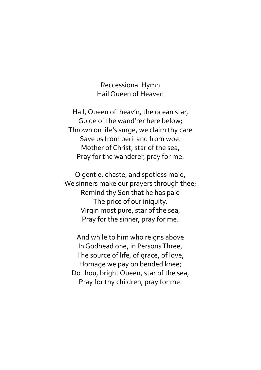Reccessional Hymn Hail Queen of Heaven

Hail, Queen of heav'n, the ocean star, Guide of the wand'rer here below; Thrown on life's surge, we claim thy care Save us from peril and from woe. Mother of Christ, star of the sea, Pray for the wanderer, pray for me.

O gentle, chaste, and spotless maid, We sinners make our prayers through thee; Remind thy Son that he has paid The price of our iniquity. Virgin most pure, star of the sea, Pray for the sinner, pray for me.

And while to him who reigns above In Godhead one, in Persons Three, The source of life, of grace, of love, Homage we pay on bended knee; Do thou, bright Queen, star of the sea, Pray for thy children, pray for me.